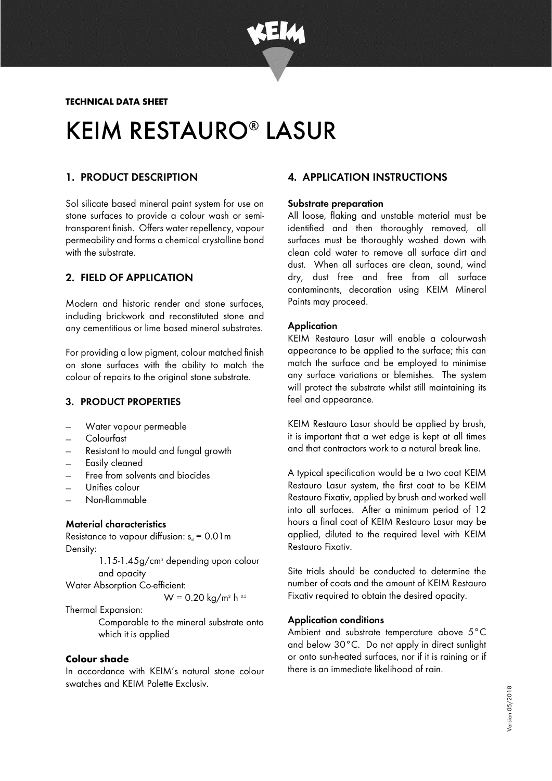

TECHNICAL DATA SHEET

# KEIM RESTAURO® LASUR

## 1. PRODUCT DESCRIPTION

Sol silicate based mineral paint system for use on stone surfaces to provide a colour wash or semitransparent finish. Offers water repellency, vapour permeability and forms a chemical crystalline bond with the substrate.

## 2. FIELD OF APPLICATION

Modern and historic render and stone surfaces, including brickwork and reconstituted stone and any cementitious or lime based mineral substrates.

For providing a low pigment, colour matched finish on stone surfaces with the ability to match the colour of repairs to the original stone substrate.

### 3. PRODUCT PROPERTIES

- Water vapour permeable
- − Colourfast
- − Resistant to mould and fungal growth
- Easily cleaned
- Free from solvents and biocides
- − Unifies colour
- − Non-flammable

### Material characteristics

Resistance to vapour diffusion:  $s_d = 0.01$  m Density:

> 1.15-1.45g/cm<sup>3</sup> depending upon colour and opacity

Water Absorption Co-efficient:

 $W = 0.20 \text{ kg/m}^2 \text{ h}$ <sup>0.5</sup>

Thermal Expansion:

Comparable to the mineral substrate onto which it is applied

### Colour shade

In accordance with KEIM's natural stone colour swatches and KEIM Palette Exclusiv.

# 4. APPLICATION INSTRUCTIONS

#### Substrate preparation

All loose, flaking and unstable material must be identified and then thoroughly removed, all surfaces must be thoroughly washed down with clean cold water to remove all surface dirt and dust. When all surfaces are clean, sound, wind dry, dust free and free from all surface contaminants, decoration using KEIM Mineral Paints may proceed.

### **Application**

KEIM Restauro Lasur will enable a colourwash appearance to be applied to the surface; this can match the surface and be employed to minimise any surface variations or blemishes. The system will protect the substrate whilst still maintaining its feel and appearance.

KEIM Restauro Lasur should be applied by brush, it is important that a wet edge is kept at all times and that contractors work to a natural break line.

A typical specification would be a two coat KEIM Restauro Lasur system, the first coat to be KEIM Restauro Fixativ, applied by brush and worked well into all surfaces. After a minimum period of 12 hours a final coat of KEIM Restauro Lasur may be applied, diluted to the required level with KEIM Restauro Fixativ.

Site trials should be conducted to determine the number of coats and the amount of KEIM Restauro Fixativ required to obtain the desired opacity.

### Application conditions

Ambient and substrate temperature above 5°C and below 30°C. Do not apply in direct sunlight or onto sun-heated surfaces, nor if it is raining or if there is an immediate likelihood of rain.